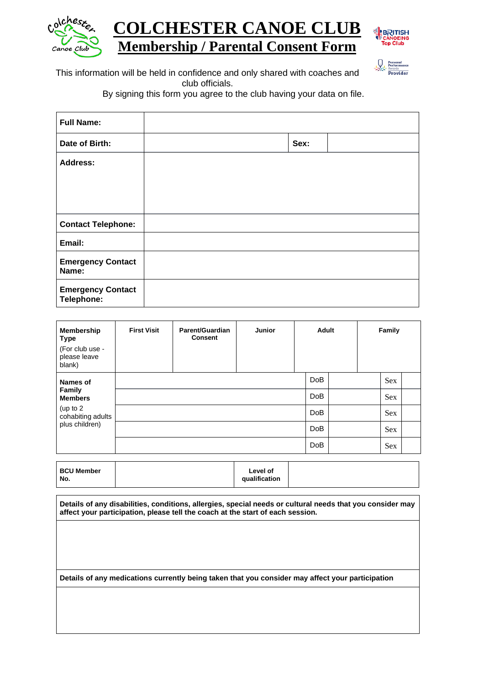





Q **Personal**<br>**Performance** Provider

This information will be held in confidence and only shared with coaches and club officials.

By signing this form you agree to the club having your data on file.

| <b>Full Name:</b>                      |      |  |
|----------------------------------------|------|--|
| Date of Birth:                         | Sex: |  |
| <b>Address:</b>                        |      |  |
|                                        |      |  |
|                                        |      |  |
| <b>Contact Telephone:</b>              |      |  |
| Email:                                 |      |  |
| <b>Emergency Contact</b><br>Name:      |      |  |
| <b>Emergency Contact</b><br>Telephone: |      |  |

| Membership<br><b>Type</b><br>(For club use -<br>please leave<br>blank) | <b>First Visit</b> | Parent/Guardian<br><b>Consent</b> | <b>Junior</b> |                 | Adult |            | Family |  |
|------------------------------------------------------------------------|--------------------|-----------------------------------|---------------|-----------------|-------|------------|--------|--|
| <b>Names of</b>                                                        |                    |                                   |               | <b>DoB</b>      |       | <b>Sex</b> |        |  |
| <b>Family</b><br><b>Members</b>                                        |                    |                                   |               |                 |       | <b>Sex</b> |        |  |
| (up to $2$<br>cohabiting adults                                        |                    |                                   |               | Do <sub>B</sub> |       | <b>Sex</b> |        |  |
| plus children)                                                         |                    |                                   |               | Do <sub>B</sub> |       | <b>Sex</b> |        |  |
|                                                                        |                    |                                   |               | <b>DoB</b>      |       | <b>Sex</b> |        |  |

| <b>BCU Member</b><br>No. | Level of<br>qualification |  |
|--------------------------|---------------------------|--|
|                          |                           |  |

| Details of any disabilities, conditions, allergies, special needs or cultural needs that you consider may<br>affect your participation, please tell the coach at the start of each session. |
|---------------------------------------------------------------------------------------------------------------------------------------------------------------------------------------------|
|                                                                                                                                                                                             |
|                                                                                                                                                                                             |
| Details of any medications currently being taken that you consider may affect your participation                                                                                            |
|                                                                                                                                                                                             |
|                                                                                                                                                                                             |